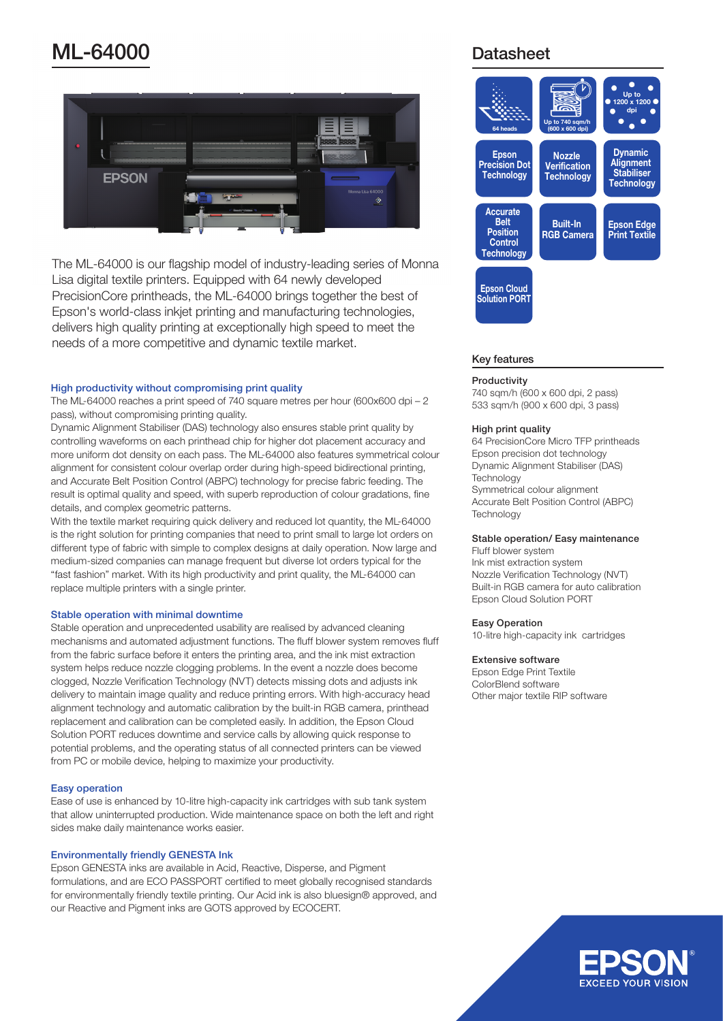# **ML-64000** Datasheet



The ML-64000 is our flagship model of industry-leading series of Monna Lisa digital textile printers. Equipped with 64 newly developed PrecisionCore printheads, the ML-64000 brings together the best of Epson's world-class inkjet printing and manufacturing technologies, delivers high quality printing at exceptionally high speed to meet the needs of a more competitive and dynamic textile market.

### High productivity without compromising print quality

The ML-64000 reaches a print speed of 740 square metres per hour (600x600 dpi  $-2$ pass), without compromising printing quality.

Dynamic Alignment Stabiliser (DAS) technology also ensures stable print quality by controlling waveforms on each printhead chip for higher dot placement accuracy and more uniform dot density on each pass. The ML-64000 also features symmetrical colour alignment for consistent colour overlap order during high-speed bidirectional printing, and Accurate Belt Position Control (ABPC) technology for precise fabric feeding. The result is optimal quality and speed, with superb reproduction of colour gradations, fine details, and complex geometric patterns.

With the textile market requiring quick delivery and reduced lot quantity, the ML-64000 is the right solution for printing companies that need to print small to large lot orders on different type of fabric with simple to complex designs at daily operation. Now large and medium-sized companies can manage frequent but diverse lot orders typical for the "fast fashion" market. With its high productivity and print quality, the ML-64000 can replace multiple printers with a single printer.

# Stable operation with minimal downtime

Stable operation and unprecedented usability are realised by advanced cleaning mechanisms and automated adjustment functions. The fluff blower system removes fluff from the fabric surface before it enters the printing area, and the ink mist extraction system helps reduce nozzle clogging problems. In the event a nozzle does become clogged, Nozzle Verification Technology (NVT) detects missing dots and adjusts ink delivery to maintain image quality and reduce printing errors. With high-accuracy head alignment technology and automatic calibration by the built-in RGB camera, printhead replacement and calibration can be completed easily. In addition, the Epson Cloud Solution PORT reduces downtime and service calls by allowing quick response to potential problems, and the operating status of all connected printers can be viewed from PC or mobile device, helping to maximize your productivity.

# **Easy operation**

Ease of use is enhanced by 10-litre high-capacity ink cartridges with sub tank system that allow uninterrupted production. Wide maintenance space on both the left and right sides make daily maintenance works easier.

### **Environmentally friendly GENESTA Ink**

Epson GENESTA inks are available in Acid, Reactive, Disperse, and Pigment formulations, and are ECO PASSPORT certified to meet globally recognised standards for environmentally friendly textile printing. Our Acid ink is also bluesign® approved, and our Reactive and Pigment inks are GOTS approved by ECOCERT.



# Key features

#### **Productivity**

 $740$  sqm/h (600 x 600 dpi, 2 pass) 533 sqm/h (900 x 600 dpi, 3 pass)

### High print quality

64 PrecisionCore Micro TFP printheads Epson precision dot technology Dynamic Alignment Stabiliser (DAS) **Technology** Symmetrical colour alignment Accurate Belt Position Control (ABPC) **Technology** 

# Stable operation/ Easy maintenance

Fluff blower system Ink mist extraction system Nozzle Verification Technology (NVT) Built-in RGB camera for auto calibration **Epson Cloud Solution PORT** 

### Easy Operation

10-litre high-capacity ink cartridges

#### Extensive software

Epson Edge Print Textile ColorBlend software Other major textile RIP software